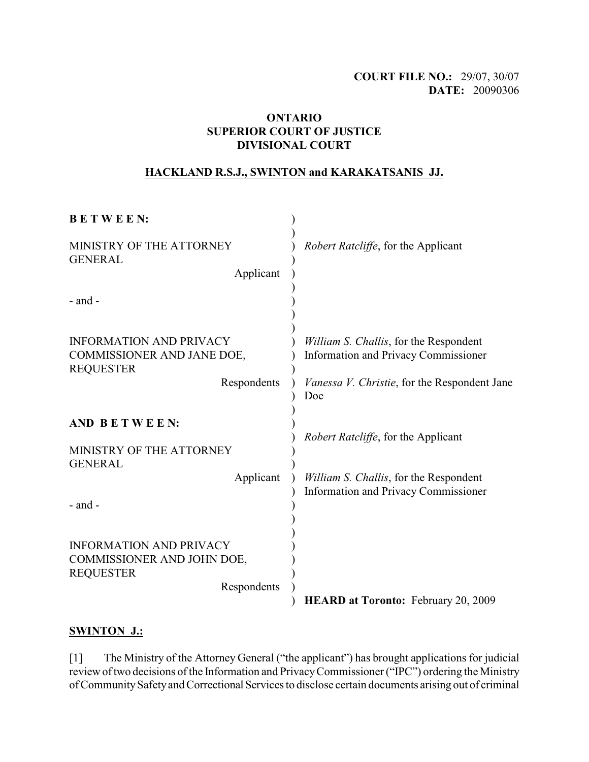# **COURT FILE NO.:** 29/07, 30/07 **DATE:** 20090306

### **ONTARIO SUPERIOR COURT OF JUSTICE DIVISIONAL COURT**

### **HACKLAND R.S.J., SWINTON and KARAKATSANIS JJ.**

| <b>BETWEEN:</b>                                                                                 |                                                                                                                                              |
|-------------------------------------------------------------------------------------------------|----------------------------------------------------------------------------------------------------------------------------------------------|
| MINISTRY OF THE ATTORNEY<br><b>GENERAL</b><br>Applicant                                         | <i>Robert Ratcliffe</i> , for the Applicant                                                                                                  |
| $-$ and $-$                                                                                     |                                                                                                                                              |
| <b>INFORMATION AND PRIVACY</b><br>COMMISSIONER AND JANE DOE,<br><b>REQUESTER</b><br>Respondents | William S. Challis, for the Respondent<br><b>Information and Privacy Commissioner</b><br><i>Vanessa V. Christie, for the Respondent Jane</i> |
|                                                                                                 | Doe                                                                                                                                          |
| AND BETWEEN:<br>MINISTRY OF THE ATTORNEY<br><b>GENERAL</b>                                      | <i>Robert Ratcliffe</i> , for the Applicant                                                                                                  |
| Applicant<br>- and -                                                                            | William S. Challis, for the Respondent<br><b>Information and Privacy Commissioner</b>                                                        |
| <b>INFORMATION AND PRIVACY</b>                                                                  |                                                                                                                                              |
| COMMISSIONER AND JOHN DOE,<br><b>REQUESTER</b>                                                  |                                                                                                                                              |
| Respondents                                                                                     | <b>HEARD at Toronto: February 20, 2009</b>                                                                                                   |

# **SWINTON J.:**

[1] The Ministry of the Attorney General ("the applicant") has brought applications for judicial review of two decisions of the Information and Privacy Commissioner ("IPC") ordering the Ministry of Community Safety and Correctional Services to disclose certain documents arising out of criminal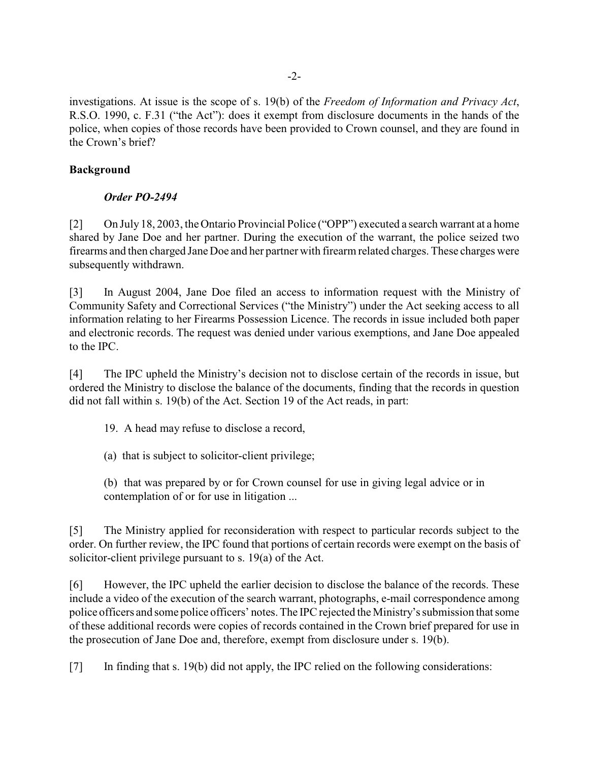investigations. At issue is the scope of s. 19(b) of the *Freedom of Information and Privacy Act*, R.S.O. 1990, c. F.31 ("the Act"): does it exempt from disclosure documents in the hands of the police, when copies of those records have been provided to Crown counsel, and they are found in the Crown's brief?

### **Background**

## *Order PO-2494*

[2] On July 18, 2003, the Ontario Provincial Police ("OPP") executed a search warrant at a home shared by Jane Doe and her partner. During the execution of the warrant, the police seized two firearms and then charged Jane Doe and her partner with firearm related charges. These charges were subsequently withdrawn.

[3] In August 2004, Jane Doe filed an access to information request with the Ministry of Community Safety and Correctional Services ("the Ministry") under the Act seeking access to all information relating to her Firearms Possession Licence. The records in issue included both paper and electronic records. The request was denied under various exemptions, and Jane Doe appealed to the IPC.

[4] The IPC upheld the Ministry's decision not to disclose certain of the records in issue, but ordered the Ministry to disclose the balance of the documents, finding that the records in question did not fall within s. 19(b) of the Act. Section 19 of the Act reads, in part:

19. A head may refuse to disclose a record,

(a) that is subject to solicitor-client privilege;

(b) that was prepared by or for Crown counsel for use in giving legal advice or in contemplation of or for use in litigation ...

[5] The Ministry applied for reconsideration with respect to particular records subject to the order. On further review, the IPC found that portions of certain records were exempt on the basis of solicitor-client privilege pursuant to s. 19(a) of the Act.

[6] However, the IPC upheld the earlier decision to disclose the balance of the records. These include a video of the execution of the search warrant, photographs, e-mail correspondence among police officers and some police officers' notes. The IPC rejected the Ministry's submission that some of these additional records were copies of records contained in the Crown brief prepared for use in the prosecution of Jane Doe and, therefore, exempt from disclosure under s. 19(b).

[7] In finding that s. 19(b) did not apply, the IPC relied on the following considerations: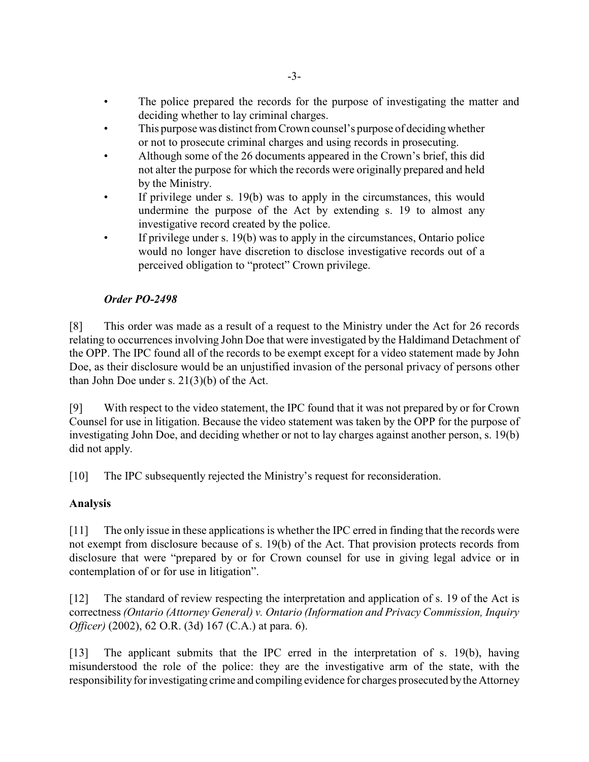- The police prepared the records for the purpose of investigating the matter and deciding whether to lay criminal charges.
- This purpose was distinct from Crown counsel's purpose of deciding whether or not to prosecute criminal charges and using records in prosecuting.
- Although some of the 26 documents appeared in the Crown's brief, this did not alter the purpose for which the records were originally prepared and held by the Ministry.
- If privilege under s.  $19(b)$  was to apply in the circumstances, this would undermine the purpose of the Act by extending s. 19 to almost any investigative record created by the police.
- If privilege under s. 19(b) was to apply in the circumstances, Ontario police would no longer have discretion to disclose investigative records out of a perceived obligation to "protect" Crown privilege.

# *Order PO-2498*

[8] This order was made as a result of a request to the Ministry under the Act for 26 records relating to occurrences involving John Doe that were investigated by the Haldimand Detachment of the OPP. The IPC found all of the records to be exempt except for a video statement made by John Doe, as their disclosure would be an unjustified invasion of the personal privacy of persons other than John Doe under s. 21(3)(b) of the Act.

[9] With respect to the video statement, the IPC found that it was not prepared by or for Crown Counsel for use in litigation. Because the video statement was taken by the OPP for the purpose of investigating John Doe, and deciding whether or not to lay charges against another person, s. 19(b) did not apply.

[10] The IPC subsequently rejected the Ministry's request for reconsideration.

# **Analysis**

[11] The only issue in these applications is whether the IPC erred in finding that the records were not exempt from disclosure because of s. 19(b) of the Act. That provision protects records from disclosure that were "prepared by or for Crown counsel for use in giving legal advice or in contemplation of or for use in litigation".

[12] The standard of review respecting the interpretation and application of s. 19 of the Act is correctness *(Ontario (Attorney General) v. Ontario (Information and Privacy Commission, Inquiry Officer)* (2002), 62 O.R. (3d) 167 (C.A.) at para. 6).

[13] The applicant submits that the IPC erred in the interpretation of s. 19(b), having misunderstood the role of the police: they are the investigative arm of the state, with the responsibility for investigating crime and compiling evidence for charges prosecuted by the Attorney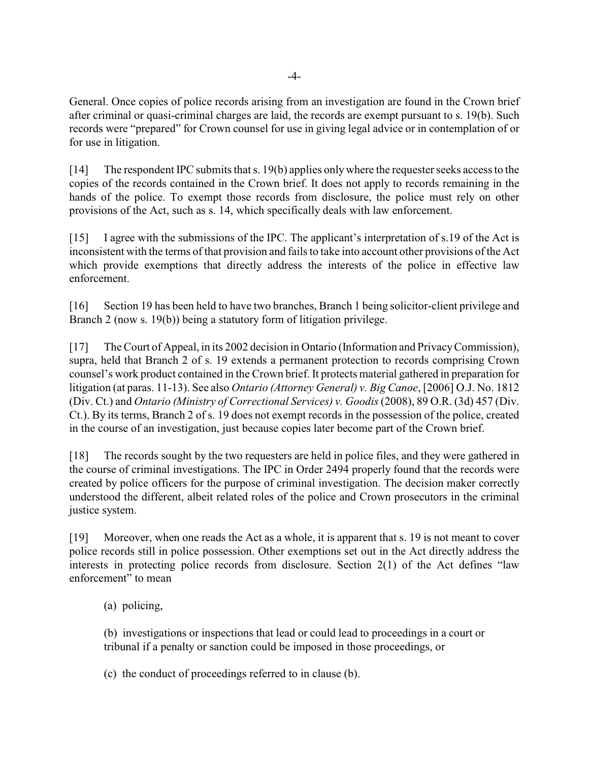General. Once copies of police records arising from an investigation are found in the Crown brief after criminal or quasi-criminal charges are laid, the records are exempt pursuant to s. 19(b). Such records were "prepared" for Crown counsel for use in giving legal advice or in contemplation of or for use in litigation.

[14] The respondent IPC submits that s. 19(b) applies only where the requester seeks access to the copies of the records contained in the Crown brief. It does not apply to records remaining in the hands of the police. To exempt those records from disclosure, the police must rely on other provisions of the Act, such as s. 14, which specifically deals with law enforcement.

[15] I agree with the submissions of the IPC. The applicant's interpretation of s.19 of the Act is inconsistent with the terms of that provision and fails to take into account other provisions of the Act which provide exemptions that directly address the interests of the police in effective law enforcement.

[16] Section 19 has been held to have two branches, Branch 1 being solicitor-client privilege and Branch 2 (now s. 19(b)) being a statutory form of litigation privilege.

[17] The Court of Appeal, in its 2002 decision in Ontario (Information and Privacy Commission), supra, held that Branch 2 of s. 19 extends a permanent protection to records comprising Crown counsel's work product contained in the Crown brief. It protects material gathered in preparation for litigation (at paras. 11-13). See also *Ontario (Attorney General) v. Big Canoe*, [2006] O.J. No. 1812 (Div. Ct.) and *Ontario (Ministry of Correctional Services) v. Goodis* (2008), 89 O.R. (3d) 457 (Div. Ct.). By its terms, Branch 2 of s. 19 does not exempt records in the possession of the police, created in the course of an investigation, just because copies later become part of the Crown brief.

[18] The records sought by the two requesters are held in police files, and they were gathered in the course of criminal investigations. The IPC in Order 2494 properly found that the records were created by police officers for the purpose of criminal investigation. The decision maker correctly understood the different, albeit related roles of the police and Crown prosecutors in the criminal justice system.

[19] Moreover, when one reads the Act as a whole, it is apparent that s. 19 is not meant to cover police records still in police possession. Other exemptions set out in the Act directly address the interests in protecting police records from disclosure. Section 2(1) of the Act defines "law enforcement" to mean

(a) policing,

(b) investigations or inspections that lead or could lead to proceedings in a court or tribunal if a penalty or sanction could be imposed in those proceedings, or

(c) the conduct of proceedings referred to in clause (b).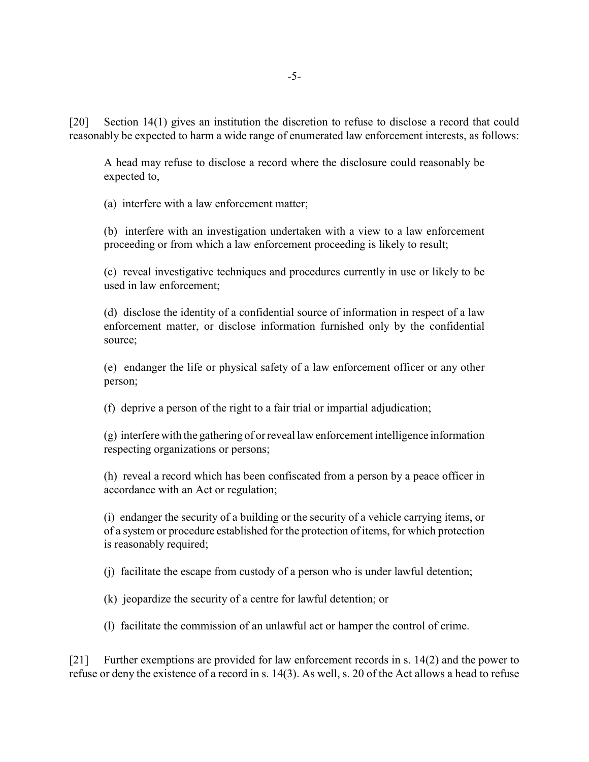[20] Section 14(1) gives an institution the discretion to refuse to disclose a record that could reasonably be expected to harm a wide range of enumerated law enforcement interests, as follows:

A head may refuse to disclose a record where the disclosure could reasonably be expected to,

(a) interfere with a law enforcement matter;

(b) interfere with an investigation undertaken with a view to a law enforcement proceeding or from which a law enforcement proceeding is likely to result;

(c) reveal investigative techniques and procedures currently in use or likely to be used in law enforcement;

(d) disclose the identity of a confidential source of information in respect of a law enforcement matter, or disclose information furnished only by the confidential source;

(e) endanger the life or physical safety of a law enforcement officer or any other person;

(f) deprive a person of the right to a fair trial or impartial adjudication;

(g) interfere with the gathering of or reveal law enforcement intelligence information respecting organizations or persons;

(h) reveal a record which has been confiscated from a person by a peace officer in accordance with an Act or regulation;

(i) endanger the security of a building or the security of a vehicle carrying items, or of a system or procedure established for the protection of items, for which protection is reasonably required;

(j) facilitate the escape from custody of a person who is under lawful detention;

(k) jeopardize the security of a centre for lawful detention; or

(l) facilitate the commission of an unlawful act or hamper the control of crime.

[21] Further exemptions are provided for law enforcement records in s. 14(2) and the power to refuse or deny the existence of a record in s. 14(3). As well, s. 20 of the Act allows a head to refuse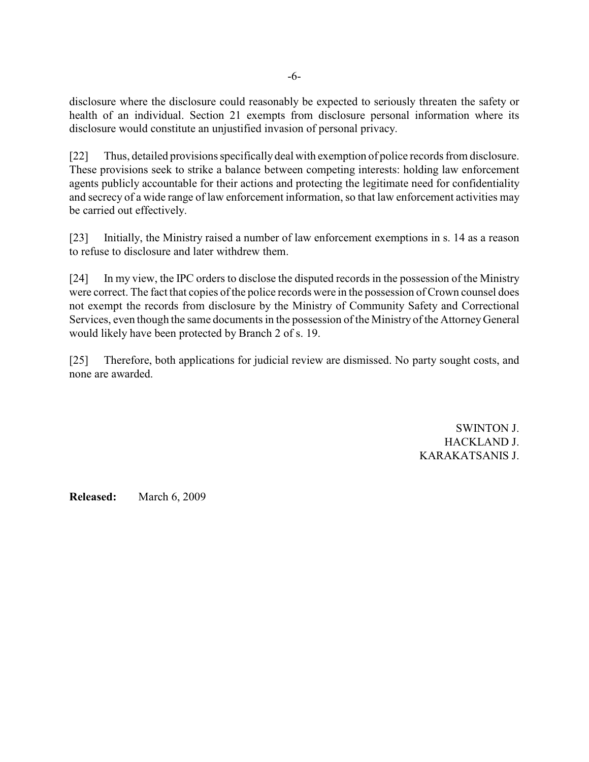disclosure where the disclosure could reasonably be expected to seriously threaten the safety or health of an individual. Section 21 exempts from disclosure personal information where its disclosure would constitute an unjustified invasion of personal privacy.

[22] Thus, detailed provisions specifically deal with exemption of police records from disclosure. These provisions seek to strike a balance between competing interests: holding law enforcement agents publicly accountable for their actions and protecting the legitimate need for confidentiality and secrecy of a wide range of law enforcement information, so that law enforcement activities may be carried out effectively.

[23] Initially, the Ministry raised a number of law enforcement exemptions in s. 14 as a reason to refuse to disclosure and later withdrew them.

[24] In my view, the IPC orders to disclose the disputed records in the possession of the Ministry were correct. The fact that copies of the police records were in the possession of Crown counsel does not exempt the records from disclosure by the Ministry of Community Safety and Correctional Services, even though the same documents in the possession of the Ministry of the Attorney General would likely have been protected by Branch 2 of s. 19.

[25] Therefore, both applications for judicial review are dismissed. No party sought costs, and none are awarded.

> SWINTON J. HACKLAND J. KARAKATSANIS J.

**Released:** March 6, 2009